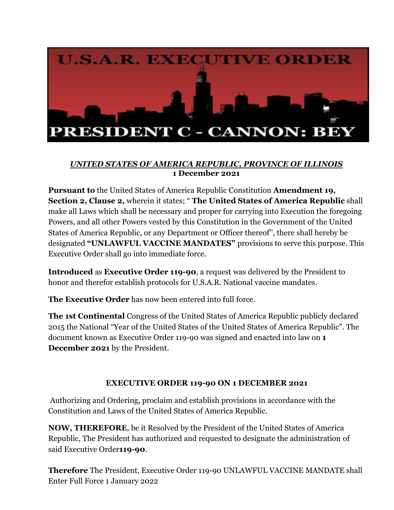

## *UNITED STATES OF AMERICA REPUBLIC, PROVINCE OF ILLINOIS* **1 December 2021**

**Pursuant to** the United States of America Republic Constitution **Amendment 19, Section 2, Clause 2,** wherein it states; " **The United States of America Republic** shall make all Laws which shall be necessary and proper for carrying into Execution the foregoing Powers, and all other Powers vested by this Constitution in the Government of the United States of America Republic, or any Department or Officer thereof'', there shall hereby be designated **"UNLAWFUL VACCINE MANDATES"** provisions to serve this purpose. This Executive Order shall go into immediate force.

**Introduced** as **Executive Order 119-90**, a request was delivered by the President to honor and therefor establish protocols for U.S.A.R. National vaccine mandates.

**The Executive Order** has now been entered into full force.

**The 1st Continental** Congress of the United States of America Republic publicly declared 2015 the National "Year of the United States of the United States of America Republic". The document known as Executive Order 119-90 was signed and enacted into law on **1 December 2021** by the President.

## **EXECUTIVE ORDER 119-90 ON 1 DECEMBER 2021**

 Authorizing and Ordering, proclaim and establish provisions in accordance with the Constitution and Laws of the United States of America Republic.

**NOW, THEREFORE**, be it Resolved by the President of the United States of America Republic, The President has authorized and requested to designate the administration of said Executive Order**119-90**.

**Therefore** The President, Executive Order 119-90 UNLAWFUL VACCINE MANDATE shall Enter Full Force 1 January 2022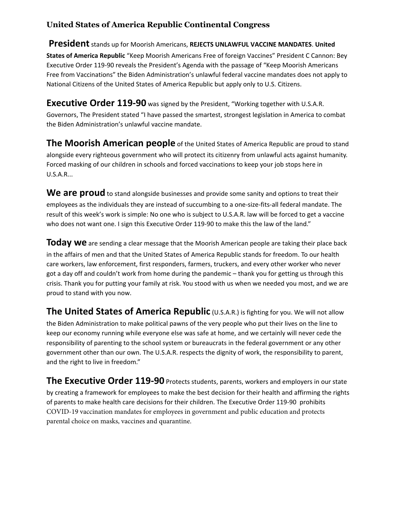## **United States of America Republic Continental Congress**

**President** stands up for Moorish Americans, **REJECTS UNLAWFUL VACCINE MANDATES**. **United States of America Republic** "Keep Moorish Americans Free of foreign Vaccines" President C Cannon: Bey Executive Order 119-90 reveals the President's Agenda with the passage of "Keep Moorish Americans Free from Vaccinations" the Biden Administration's unlawful federal vaccine mandates does not apply to National Citizens of the United States of America Republic but apply only to U.S. Citizens.

**Executive Order 119-90** was signed by the President, "Working together with U.S.A.R. Governors, The President stated "I have passed the smartest, strongest legislation in America to combat the Biden Administration's unlawful vaccine mandate.

**The Moorish American people** of the United States of America Republic are proud to stand alongside every righteous government who will protect its citizenry from unlawful acts against humanity. Forced masking of our children in schools and forced vaccinations to keep your job stops here in U.S.A.R...

We are proud to stand alongside businesses and provide some sanity and options to treat their employees as the individuals they are instead of succumbing to a one-size-fits-all federal mandate. The result of this week's work is simple: No one who is subject to U.S.A.R. law will be forced to get a vaccine who does not want one. I sign this Executive Order 119-90 to make this the law of the land."

**Today we** are sending a clear message that the Moorish American people are taking their place back in the affairs of men and that the United States of America Republic stands for freedom. To our health care workers, law enforcement, first responders, farmers, truckers, and every other worker who never got a day off and couldn't work from home during the pandemic – thank you for getting us through this crisis. Thank you for putting your family at risk. You stood with us when we needed you most, and we are proud to stand with you now.

**The United States of America Republic** (U.S.A.R.) is fighting for you. We will not allow the Biden Administration to make political pawns of the very people who put their lives on the line to keep our economy running while everyone else was safe at home, and we certainly will never cede the responsibility of parenting to the school system or bureaucrats in the federal government or any other government other than our own. The U.S.A.R. respects the dignity of work, the responsibility to parent, and the right to live in freedom."

**The Executive Order 119-90** Protects students, parents, workers and employers in our state by creating a framework for employees to make the best decision for their health and affirming the rights of parents to make health care decisions for their children. The Executive Order 119-90 prohibits COVID-19 vaccination mandates for employees in government and public education and protects parental choice on masks, vaccines and quarantine.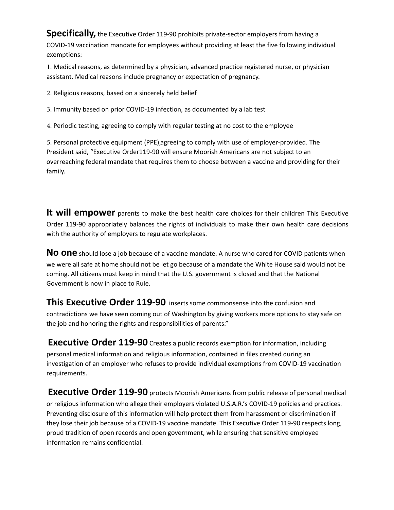**Specifically,** the Executive Order 119-90 prohibits private-sector employers from having a COVID-19 vaccination mandate for employees without providing at least the five following individual exemptions:

1. Medical reasons, as determined by a physician, advanced practice registered nurse, or physician assistant. Medical reasons include pregnancy or expectation of pregnancy.

2. Religious reasons, based on a sincerely held belief

3. Immunity based on prior COVID-19 infection, as documented by a lab test

4. Periodic testing, agreeing to comply with regular testing at no cost to the employee

5. Personal protective equipment (PPE), agreeing to comply with use of employer-provided. The President said, "Executive Order119-90 will ensure Moorish Americans are not subject to an overreaching federal mandate that requires them to choose between a vaccine and providing for their family.

**It will empower** parents to make the best health care choices for their children This Executive Order 119-90 appropriately balances the rights of individuals to make their own health care decisions with the authority of employers to regulate workplaces.

**No one** should lose a job because of a vaccine mandate. A nurse who cared for COVID patients when we were all safe at home should not be let go because of a mandate the White House said would not be coming. All citizens must keep in mind that the U.S. government is closed and that the National Government is now in place to Rule.

**This Executive Order 119-90** inserts some commonsense into the confusion and contradictions we have seen coming out of Washington by giving workers more options to stay safe on the job and honoring the rights and responsibilities of parents."

**Executive Order 119-90** Creates a public records exemption for information, including personal medical information and religious information, contained in files created during an investigation of an employer who refuses to provide individual exemptions from COVID-19 vaccination requirements.

**Executive Order 119-90** protects Moorish Americans from public release of personal medical or religious information who allege their employers violated U.S.A.R.'s COVID-19 policies and practices. Preventing disclosure of this information will help protect them from harassment or discrimination if they lose their job because of a COVID-19 vaccine mandate. This Executive Order 119-90 respects long, proud tradition of open records and open government, while ensuring that sensitive employee information remains confidential.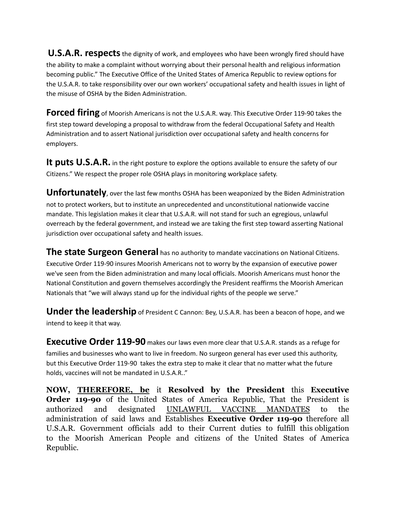**U.S.A.R. respects** the dignity of work, and employees who have been wrongly fired should have the ability to make a complaint without worrying about their personal health and religious information becoming public." The Executive Office of the United States of America Republic to review options for the U.S.A.R. to take responsibility over our own workers' occupational safety and health issues in light of the misuse of OSHA by the Biden Administration.

**Forced firing** of Moorish Americans is not the U.S.A.R. way. This Executive Order 119-90 takes the first step toward developing a proposal to withdraw from the federal Occupational Safety and Health Administration and to assert National jurisdiction over occupational safety and health concerns for employers.

It puts U.S.A.R. in the right posture to explore the options available to ensure the safety of our Citizens." We respect the proper role OSHA plays in monitoring workplace safety.

**Unfortunately**, over the last few months OSHA has been weaponized by the Biden Administration not to protect workers, but to institute an unprecedented and unconstitutional nationwide vaccine mandate. This legislation makes it clear that U.S.A.R. will not stand for such an egregious, unlawful overreach by the federal government, and instead we are taking the first step toward asserting National jurisdiction over occupational safety and health issues.

**The state Surgeon General** has no authority to mandate vaccinations on National Citizens. Executive Order 119-90 insures Moorish Americans not to worry by the expansion of executive power we've seen from the Biden administration and many local officials. Moorish Americans must honor the National Constitution and govern themselves accordingly the President reaffirms the Moorish American Nationals that "we will always stand up for the individual rights of the people we serve."

**Under the leadership** of President C Cannon: Bey, U.S.A.R. has been a beacon of hope, and we intend to keep it that way.

**Executive Order 119-90** makes our laws even more clear that U.S.A.R. stands as a refuge for families and businesses who want to live in freedom. No surgeon general has ever used this authority, but this Executive Order 119-90 takes the extra step to make it clear that no matter what the future holds, vaccines will not be mandated in U.S.A.R.."

**NOW, [THEREFORE,](http://therefore.be) be** it **Resolved by the President** this **Executive Order 119-90** of the United States of America Republic, That the President is authorized and designated UNLAWFUL VACCINE MANDATES to the administration of said laws and Establishes **Executive Order 119-90** therefore all U.S.A.R. Government officials add to their Current duties to fulfill this obligation to the Moorish American People and citizens of the United States of America Republic.